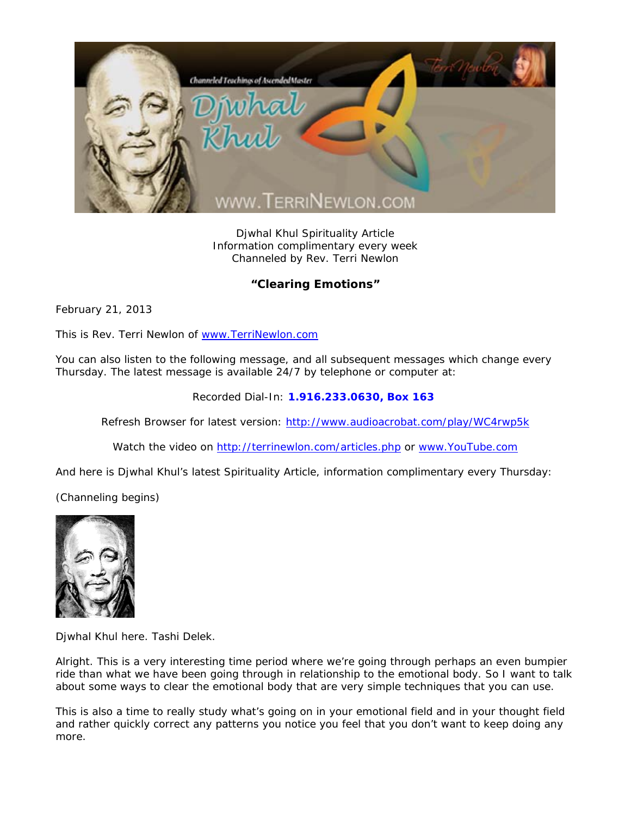

Djwhal Khul Spirituality Article Information complimentary every week Channeled by Rev. Terri Newlon

## **"Clearing Emotions"**

February 21, 2013

This is Rev. Terri Newlon of www.TerriNewlon.com

You can also listen to the following message, and all subsequent messages which change every Thursday. The latest message is available 24/7 by telephone or computer at:

Recorded Dial-In: **1.916.233.0630, Box 163** 

Refresh Browser for latest version: http://www.audioacrobat.com/play/WC4rwp5k

Watch the video on http://terrinewlon.com/articles.php or www.YouTube.com

And here is Djwhal Khul's latest Spirituality Article, information complimentary every Thursday:

(Channeling begins)



Djwhal Khul here. Tashi Delek.

Alright. This is a very interesting time period where we're going through perhaps an even bumpier ride than what we have been going through in relationship to the emotional body. So I want to talk about some ways to clear the emotional body that are very simple techniques that you can use.

This is also a time to really study what's going on in your emotional field and in your thought field and rather quickly correct any patterns you notice you feel that you don't want to keep doing any more.